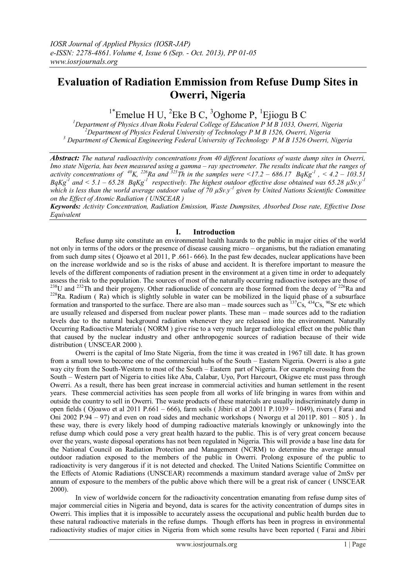# **Evaluation of Radiation Emmission from Refuse Dump Sites in Owerri, Nigeria**

 $1*$ Emelue H U,  $2E$ ke B C,  $3O$ ghome P,  $1E$ jiogu B C

*<sup>1</sup>Department of Physics Alvan Ikoku Federal College of Education P M B 1033, Owerri, Nigeria <sup>2</sup>Department of Physics Federal University of Technology P M B 1526, Owerri, Nigeria <sup>3</sup> Department of Chemical Engineering Federal University of Technology P M B 1526 Owerri, Nigeria*

*Abstract: The natural radioactivity concentrations from 40 different locations of waste dump sites in Owerri, Imo state Nigeria, has been measured using a gamma – ray spectrometer. The results indicate that the ranges of activity concentrations of*  $^{40}K$ *,*  $^{226}Ra$  *and*  $^{323}Th$  *in the samples were*  $\leq 17.2 - 686.17$  *BqKg<sup>-1</sup>,*  $\leq 4.2 - 103.51$  $BqKg<sup>-1</sup>$  and  $\lt 5.1 - 65.28$   $BqKg<sup>-1</sup>$  respectively. The highest outdoor effective dose obtained was 65.28  $\mu$ Sv.y<sup>-1</sup> *which is less than the world average outdoor value of 70 µSv.y-1 given by United Nations Scientific Committee on the Effect of Atomic Radiation ( UNSCEAR )* 

*Keywords: Activity Concentration, Radiation Emission, Waste Dumpsites, Absorbed Dose rate, Effective Dose Equivalent* 

## **I. Introduction**

Refuse dump site constitute an environmental health hazards to the public in major cities of the world not only in terms of the odors or the presence of disease causing micro – organisms, but the radiation emanating from such dump sites ( Ojoawo et al 2011, P .661- 666). In the past few decades, nuclear applications have been on the increase worldwide and so is the risks of abuse and accident. It is therefore important to measure the levels of the different components of radiation present in the environment at a given time in order to adequately assess the risk to the population. The sources of most of the naturally occurring radioactive isotopes are those of  $^{238}$ U and  $^{232}$ Th and their progeny. Other radionuclide of concern are those formed from the decay of  $^{226}$ Ra and <sup>228</sup>Ra. Radium (Ra) which is slightly soluble in water can be mobilized in the liquid phase of a subsurface formation and transported to the surface. There are also man – made sources such as  ${}^{137}Cs$ ,  ${}^{434}Cs$ ,  ${}^{90}Sr$  etc which are usually released and dispersed from nuclear power plants. These man – made sources add to the radiation levels due to the natural background radiation whenever they are released into the environment. Naturally Occurring Radioactive Materials ( NORM ) give rise to a very much larger radiological effect on the public than that caused by the nuclear industry and other anthropogenic sources of radiation because of their wide distribution ( UNSCEAR 2000 ).

Owerri is the capital of Imo State Nigeria, from the time it was created in 1967 till date. It has grown from a small town to become one of the commercial hubs of the South – Eastern Nigeria. Owerri is also a gate way city from the South-Western to most of the South – Eastern part of Nigeria. For example crossing from the South – Western part of Nigeria to cities like Aba, Calabar, Uyo, Port Harcourt, Okigwe etc must pass through Owerri. As a result, there has been great increase in commercial activities and human settlement in the resent years. These commercial activities has seen people from all works of life bringing in wares from within and outside the country to sell in Owerri. The waste products of these materials are usually indiscriminately dump in open fields ( Ojoawo et al 2011 P.661 – 666), farm soils ( Jibiri et al 20011 P.1039 – 1049), rivers ( Farai and Oni 2002 P.94 – 97) and even on road sides and mechanic workshops (Nworgu et al 2011P.  $801 - 805$ ). In these way, there is every likely hood of dumping radioactive materials knowingly or unknowingly into the refuse dump which could pose a very great health hazard to the public. This is of very great concern because over the years, waste disposal operations has not been regulated in Nigeria. This will provide a base line data for the National Council on Radiation Protection and Management (NCRM) to determine the average annual outdoor radiation exposed to the members of the public in Owerri. Prolong exposure of the public to radioactivity is very dangerous if it is not detected and checked. The United Nations Scientific Committee on the Effects of Atomic Radiations (UNSCEAR) recommends a maximum standard average value of 2mSv per annum of exposure to the members of the public above which there will be a great risk of cancer ( UNSCEAR 2000).

In view of worldwide concern for the radioactivity concentration emanating from refuse dump sites of major commercial cities in Nigeria and beyond, data is scares for the activity concentration of dumps sites in Owerri. This implies that it is impossible to accurately assess the occupational and public health burden due to these natural radioactive materials in the refuse dumps. Though efforts has been in progress in environmental radioactivity studies of major cities in Nigeria from which some results have been reported ( Farai and Jibiri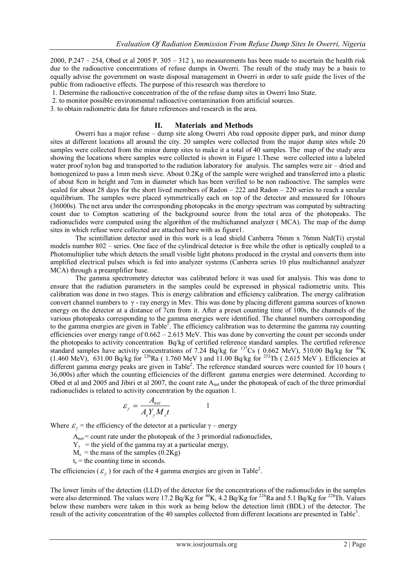2000, P.247 – 254, Obed et al 2005 P.  $305 - 312$ ), no measurements has been made to ascertain the health risk due to the radioactive concentrations of refuse dumps in Owerri. The result of the study may be a basis to equally advise the government on waste disposal management in Owerri in order to safe guide the lives of the public from radioactive effects. The purpose of this research was therefore to

- 1. Determine the radioactive concentration of the of the refuse dump sites in Owerri Imo State.
- 2. to monitor possible environmental radioactive contamination from artificial sources.
- 3. to obtain radiometric data for future references and research in the area.

### **II. Materials and Methods**

Owerri has a major refuse – dump site along Owerri Aba road opposite dipper park, and minor dump sites at different locations all around the city. 20 samples were collected from the major dump sites while 20 samples were collected from the minor dump sites to make it a total of 40 samples. The map of the study area showing the locations where samples were collected is shown in Figure 1.These were collected into a labeled water proof nylon bag and transported to the radiation laboratory for analysis. The samples were air – dried and homogenized to pass a 1mm mesh sieve. About 0.2Kg of the sample were weighed and transferred into a plastic of about 8cm in height and 7cm in diameter which has been verified to be non radioactive. The samples were sealed for about 28 days for the short lived members of Radon  $-222$  and Radon  $-220$  series to reach a secular equilibrium. The samples were placed symmetrically each on top of the detector and measured for 10hours (36000s). The net area under the corresponding photopeaks in the energy spectrum was computed by subtracting count due to Compton scattering of the background source from the total area of the photopeaks. The radionuclides were computed using the algorithm of the multichannel analyzer ( MCA). The map of the dump sites in which refuse were collected are attached here with as figure1.

The scintillation detector used in this work is a lead shield Canberra 76mm x 76mm NaI(Ti) crystal models number 802 – series. One face of the cylindrical detector is free while the other is optically coupled to a Photomultiplier tube which detects the small visible light photons produced in the crystal and converts them into amplified electrical pulses which is fed into analyzer systems (Canberra series 10 plus multichannel analyzer MCA) through a preamplifier base.

The gamma spectrometry detector was calibrated before it was used for analysis. This was done to ensure that the radiation parameters in the samples could be expressed in physical radiometric units. This calibration was done in two stages. This is energy calibration and efficiency calibration. The energy calibration convert channel numbers to γ - ray energy in Mev. This was done by placing different gamma sources of known energy on the detector at a distance of 7cm from it. After a preset counting time of 100s, the channels of the various photopeaks corresponding to the gamma energies were identified. The channel numbers corresponding to the gamma energies are given in Table<sup>1</sup>. The efficiency calibration was to determine the gamma ray counting efficiencies over energy range of 0.662 – 2.615 MeV. This was done by converting the count per seconds under the photopeaks to activity concentration Bq/kg of certified reference standard samples. The certified reference standard samples have activity concentrations of 7.24 Bq/kg for  $^{137}Cs$  ( 0.662 MeV), 510.00 Bq/kg for  $^{40}K$  $(1.460 \text{ MeV})$ , 631.00 Bq/kg for <sup>226</sup>Ra (1.760 MeV) and 11.00 Bq/kg for <sup>232</sup>Th (2.615 MeV). Efficiencies at different gamma energy peaks are given in Table<sup>2</sup>. The reference standard sources were counted for 10 hours ( 36,000s) after which the counting efficiencies of the different gamma energies were determined. According to Obed et al and 2005 and Jibiri et al 2007, the count rate A<sub>net</sub> under the photopeak of each of the three primordial radionuclides is related to activity concentration by the equation 1.

$$
\varepsilon_{\gamma} = \frac{A_{net}}{A_s Y_{\gamma} M_s t} \qquad \qquad 1
$$

Where  $\varepsilon_{\gamma}$  = the efficiency of the detector at a particular  $\gamma$  – energy

 $A<sub>net</sub> = count rate under the photograph of the 3 primordial radionuclides,$ 

- $Y_{\gamma}$  = the yield of the gamma ray at a particular energy,
- $M_s$  = the mass of the samples (0.2Kg)

 $t<sub>s</sub>$  = the counting time in seconds.

The efficiencies ( $\varepsilon$ <sub>x</sub>) for each of the 4 gamma energies are given in Table<sup>2</sup>.

The lower limits of the detection (LLD) of the detector for the concentrations of the radionuclides in the samples were also determined. The values were  $17.2$  Bq/Kg for  $^{40}$ K,  $4.2$  Bq/Kg for  $^{226}$ Ra and 5.1 Bq/Kg for  $^{228}$ Th. Values below these numbers were taken in this work as being below the detection limit (BDL) of the detector. The result of the activity concentration of the 40 samples collected from different locations are presented in Table<sup>3</sup>.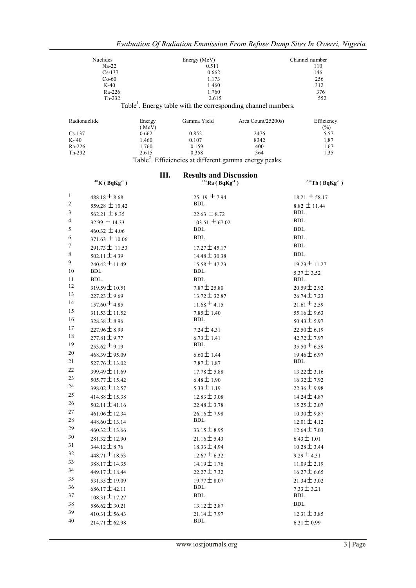| Nuclides<br>Energy (MeV) |                 |                                                                    | Channel number                                                            |                       |
|--------------------------|-----------------|--------------------------------------------------------------------|---------------------------------------------------------------------------|-----------------------|
| $Na-22$                  |                 | 0.511                                                              |                                                                           | 110                   |
| $Cs-137$                 |                 | 0.662                                                              |                                                                           | 146                   |
| $Co-60$                  |                 | 1.173                                                              |                                                                           | 256                   |
| $K-40$                   |                 | 1.460                                                              |                                                                           | 312                   |
| Ra-226                   |                 | 1.760                                                              |                                                                           | 376                   |
| $Th-232$                 |                 | 2.615                                                              |                                                                           | 552                   |
|                          |                 |                                                                    | Table <sup>1</sup> . Energy table with the corresponding channel numbers. |                       |
| Radionuclide             | Energy<br>(MeV) | Gamma Yield                                                        | Area Count/25200s)                                                        | Efficiency<br>$(\% )$ |
| $Cs-137$                 | 0.662           | 0.852                                                              | 2476                                                                      | 5.57                  |
| $K-40$                   | 1.460           | 0.107                                                              | 8342                                                                      | 1.87                  |
| Ra-226                   | 1.760           | 0.159                                                              | 400                                                                       | 1.67                  |
| $Th-232$                 | 2.615           | 0.358                                                              | 364                                                                       | 1.35                  |
|                          |                 | Table <sup>2</sup> . Efficiencies at different gamma energy peaks. |                                                                           |                       |

|                | $40$ K (BqKg <sup>-1</sup> ) | Ш.               | <b>Results and Discussion</b><br>$226$ Ra (BqKg <sup>-1</sup> ) | $232$ Th (BqKg <sup>-1</sup> ) |
|----------------|------------------------------|------------------|-----------------------------------------------------------------|--------------------------------|
| $\mathbf{1}$   | $488.18 \pm 8.68$            |                  | $25.19 \pm 7.94$                                                | $18.21 \pm 58.17$              |
| $\overline{c}$ | 559.28 $\pm$ 10.42           | <b>BDL</b>       |                                                                 | $8.82 \pm 11.44$               |
| 3              | 562.21 $\pm$ 8.35            |                  | $22.63 \pm 8.72$                                                | <b>BDL</b>                     |
| 4              | $32.99 \pm 14.33$            |                  | $103.51 \pm 67.02$                                              | <b>BDL</b>                     |
| 5              | 460.32 $\pm$ 4.06            | BDL              |                                                                 | BDL                            |
| 6              | $371.63 \pm 10.06$           | <b>BDL</b>       |                                                                 | <b>BDL</b>                     |
| 7              | $291.73 \pm 11.53$           |                  | $17.27 \pm 45.17$                                               | <b>BDL</b>                     |
| 8              | $502.11 \pm 4.39$            |                  | $14.48 \pm 30.38$                                               | <b>BDL</b>                     |
| 9              | $240.42 \pm 11.49$           |                  | $15.58 \pm 47.23$                                               | $19.23 \pm 11.27$              |
| 10             | BDL                          | BDL              |                                                                 | $5.37 \pm 3.52$                |
| 11             | BDL                          | <b>BDL</b>       |                                                                 | <b>BDL</b>                     |
| 12             | $319.59 \pm 10.51$           | $7.87 \pm 25.80$ |                                                                 | $20.59 \pm 2.92$               |
| 13             | $227.23 \pm 9.69$            |                  | $13.72 \pm 32.87$                                               | $26.74 \pm 7.23$               |
| 14             | $157.60 \pm 4.85$            | $11.68 \pm 4.15$ |                                                                 | $21.61 \pm 2.59$               |
| 15             | $311.53 \pm 11.52$           | $7.85 \pm 1.40$  |                                                                 | $55.16 \pm 9.63$               |
| 16             | $328.38 \pm 8.96$            | BDL              |                                                                 | $50.43 \pm 5.97$               |
| 17             | $227.96 \pm 8.99$            | $7.24 \pm 4.31$  |                                                                 | $22.50 \pm 6.19$               |
| 18             | $277.81 \pm 9.77$            | $6.73 \pm 1.41$  |                                                                 | $42.72 \pm 7.97$               |
| 19             | $253.62 \pm 9.19$            | BDL              |                                                                 | $35.50 \pm 6.59$               |
| 20             | $468.39 \pm 95.09$           | $6.60 \pm 1.44$  |                                                                 | $19.46 \pm 6.97$               |
| 21             | $527.76 \pm 13.02$           | $7.87 \pm 1.87$  |                                                                 | BDL                            |
| 22             | $399.49 \pm 11.69$           | $17.78 \pm 5.88$ |                                                                 | $13.22 \pm 3.16$               |
| 23             | $505.77 \pm 15.42$           | $6.48 \pm 1.90$  |                                                                 | $16.32 \pm 7.92$               |
| 24             | $398.02 \pm 12.57$           | $5.33 \pm 1.19$  |                                                                 | $22.36 \pm 9.98$               |
| 25             | $414.88 \pm 15.38$           | $12.83 \pm 3.08$ |                                                                 | $14.24 \pm 4.87$               |
| 26             | $502.11 \pm 41.16$           | $22.48 \pm 3.78$ |                                                                 | $15.25 \pm 2.07$               |
| 27             | $461.06 \pm 12.34$           | $26.16 \pm 7.98$ |                                                                 | $10.30 \pm 9.87$               |
| 28             | $448.60 \pm 13.14$           | <b>BDL</b>       |                                                                 | $12.01 \pm 4.12$               |
| 29             | $460.32 \pm 13.66$           | $33.15 \pm 8.95$ |                                                                 | $12.64 \pm 7.03$               |
| 30             | $281.32 \pm 12.90$           | $21.16 \pm 5.43$ |                                                                 | $6.43 \pm 1.01$                |
| 31             | $344.12 \pm 8.76$            | $18.33 \pm 4.94$ |                                                                 | $10.28 \pm 3.44$               |
| 32             | $448.71 \pm 18.53$           | $12.67 \pm 6.32$ |                                                                 | $9.29 \pm 4.31$                |
| 33             | 388.17 ± 14.35               | $14.19 \pm 1.76$ |                                                                 | $11.09 \pm 2.19$               |
| 34             | 449.17 $\pm$ 18.44           | $22.27 \pm 7.32$ |                                                                 | $16.27 \pm 6.65$               |
| 35             | $531.35 \pm 19.09$           | $19.77 \pm 8.07$ |                                                                 | $21.34 \pm 3.02$               |
| 36             | $686.17 \pm 42.11$           | BDL              |                                                                 | $7.33 \pm 3.21$                |
| 37             | $108.31 \pm 17.27$           | BDL              |                                                                 | <b>BDL</b>                     |
| 38             | $586.62 \pm 30.21$           | $13.12 \pm 2.87$ |                                                                 | <b>BDL</b>                     |
| 39             | $410.31 \pm 56.43$           | $21.14 \pm 7.97$ |                                                                 | $12.31 \pm 3.85$               |
| 40             | $214.71 \pm 62.98$           | <b>BDL</b>       |                                                                 | $6.31 \pm 0.99$                |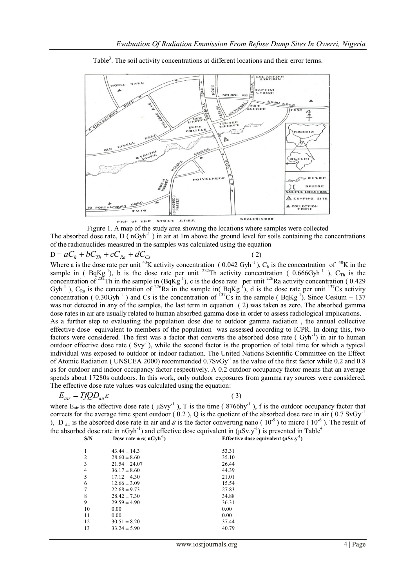

Table<sup>3</sup>. The soil activity concentrations at different locations and their error terms.

Figure 1. A map of the study area showing the locations where samples were collected The absorbed dose rate,  $D(nGyh^{-1})$  in air at 1m above the ground level for soils containing the concentrations of the radionuclides measured in the samples was calculated using the equation

$$
D = aC_k + bC_{Th} + cC_{Ra} + dC_{Cs}
$$
\n<sup>(2)</sup>

Where a is the dose rate per unit <sup>40</sup>K activity concentration (0.042 Gyh<sup>-1</sup>), C<sub>k</sub> is the concentration of <sup>40</sup>K in the sample in (BqKg<sup>-1</sup>), b is the dose rate per unit <sup>232</sup>Th activity concentration (0.666Gyh<sup>-1</sup>), C<sub>Th</sub> is the concentration of <sup>232</sup>Th in the sample in  $(BqKg^{-1})$ , c is the dose rate per unit <sup>226</sup>Ra activity concentration (0.429) Gyh<sup>-1</sup>), C<sub>Ra</sub> is the concentration of <sup>226</sup>Ra in the sample in( $BqKg^{-1}$ ), d is the dose rate per unit <sup>137</sup>Cs activity concentration (0.30Gyh<sup>-1</sup>) and Cs is the concentration of  $^{137}Cs$  in the sample (BqKg<sup>-1</sup>). Since Cesium – 137 was not detected in any of the samples, the last term in equation ( 2) was taken as zero. The absorbed gamma dose rates in air are usually related to human absorbed gamma dose in order to assess radiological implications. As a further step to evaluating the population dose due to outdoor gamma radiation , the annual collective effective dose equivalent to members of the population was assessed according to ICPR. In doing this, two factors were considered. The first was a factor that converts the absorbed dose rate (Gyh<sup>-1</sup>) in air to human outdoor effective dose rate (Svy<sup>-1</sup>), while the second factor is the proportion of total time for which a typical individual was exposed to outdoor or indoor radiation. The United Nations Scientific Committee on the Effect of Atomic Radiation ( UNSCEA 2000) recommended 0.7SvGy<sup>-1</sup> as the value of the first factor while 0.2 and 0.8 as for outdoor and indoor occupancy factor respectively. A 0.2 outdoor occupancy factor means that an average spends about 17280s outdoors. In this work, only outdoor exposures from gamma ray sources were considered. The effective dose rate values was calculated using the equation:

$$
E_{\text{air}} = TfQD_{\text{air}}\varepsilon
$$

 $(3)$ 

where  $E_{air}$  is the effective dose rate ( $\mu Svy^{-1}$ ), T is the time ( $8766$ hy<sup>-1</sup>), f is the outdoor occupancy factor that corrects for the average time spent outdoor  $(0.2)$ , Q is the quotient of the absorbed dose rate in air  $(0.7 SvGy<sup>-1</sup>)$ ), D<sub>air</sub> is the absorbed dose rate in air and  $\epsilon$  is the factor converting nano ( $10^{-9}$ ) to micro ( $10^{-6}$ ). The result of the absorbed dose rate in nGyh<sup>-1</sup>) and effective dose equivalent in  $(\mu Sv.y^{-1})$  is presented in Table<sup>4</sup> **S/N Dose rate**  $\pm \sigma(\text{nGyh}^{-1})$ **) Effective dose equivalent (µSv.y-1 )**

| 1              | $43.44 \pm 14.3$  | 53.31 |
|----------------|-------------------|-------|
| $\overline{2}$ | $28.60 \pm 8.60$  | 35.10 |
| 3              | $21.54 \pm 24.07$ | 26.44 |
| $\overline{4}$ | $36.17 \pm 8.60$  | 44.39 |
| 5              | $17.12 \pm 4.30$  | 21.01 |
| 6              | $12.66 \pm 3.09$  | 15.54 |
| 7              | $22.68 \pm 9.73$  | 27.83 |
| 8              | $28.42 \pm 7.30$  | 34.88 |
| 9              | $29.59 \pm 4.90$  | 36.31 |
| 10             | 0.00              | 0.00  |
| 11             | 0.00              | 0.00  |
| 12             | $30.51 \pm 8.20$  | 37.44 |
| 13             | $33.24 \pm 5.90$  | 40.79 |
|                |                   |       |